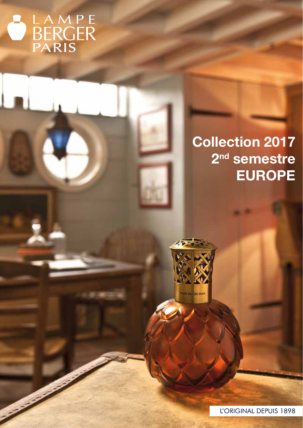# BERGER

## Collection 2017 2<sup>nd</sup> semestre EUROPE



L'ORIGINAL DEPUIS 1898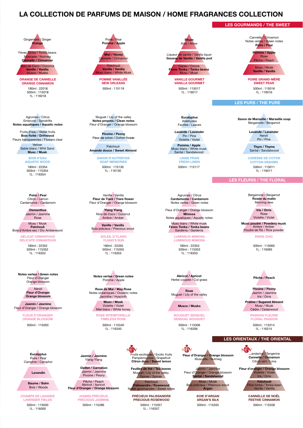#### LA COLLECTION DE PARFUMS DE MAISON / HOME FRAGRANCES COLLECTION



180ml : 22018 500ml : 115018 1L : 116018 ORANGE DE CANNELLE ORANGE CINNAMON

Agrumes / Citrus Embruns / Spindrifts<br>Notes aquatiques / Aquatic notes

Pivoine / Peony<br>
Bois flotté / Driftwood<br>
Blaux de esten / Cetter Fleurs transparentes / Flowers clear

Vetiver Sable blanc / Whit Sand Musc / Musk

> BOIS D'EAU AQUATIC WOOD

180ml : 22354 500ml : 115354 1L : 116354

Poire / Pear Citron / Lemon Cardamome / Cardamom

> **Osmanthus** Jasmin / Jasmine Rose

Musc / Musk Patchouli Bois d'Ambre sec / Dry Amberwood

> DÉLICAT OSMANTHUS PARIS CHIC DELICATE OSMANTHUS

180ml : 22352 500ml : 115352  $11 \cdot 116352$ 

Notes vertes / Green notes Fleur d'Oranger Orange blossom

> Neroli Fleur d'Oranger Orange blossom

Jasmin / Jasmine Fleur d'Oranger / Orange blossom

> FLEUR D'ORANGER ORANGE BLOSSOM

**Eucalvotus** Poire / Pear Camphre / Camphor

Lavandin

Baume / Balm Bois / Woods

500ml : 115000 1L : 116000 CHAMPS DE LAVANDE LAVENDER FIELDS



Patchouli Vanille / Vanilla blanc / White Mu

500ml : 115119 POMME VANILLÉE **NEW ORLEANS** 

Muguet / Lily of the valley Notes propres / Clean notes Fleur d'Oranger / Orange blossom

Patchouli Amande douce / Sweet Almond

> 500ml : 115130 1L : 116130 SAVON D'AUTREFOIS SOAP MEMORIES

Vanille / Vanilla Fleur de Tiaré / Tiare flower Fleur d'Oranger / Orange blossom

> Ylang Ylang Noix de Coco / Coconut Ambre / Amber

Vanille / Vanilla Bois précieux / Precious wood

> 180ml : 22355 500ml : 115355  $11 \cdot 116355$ SOLEIL D'YLANG YLANG'S SUN

Notes vertes / Green notes Pomme / Apple

Rose de Mai / May Rose Notes océaniques / Oceanic notes Jacinthe / Hyacinth

> ROSE INTEMPORELLE Musc / Musk Violette / Violet Miel blanc / White honey

500ml : 115340  $11 \cdot 116340$ TIMELESS ROSE

JASMIN PRÉCIEUX PRECIOUS JASMINE

Pêche / Peach<br>Abricot / Apricot<br>**Fleur d'Oranger / Orange blossom** 

Oeillet / Carnation Jasmin / Jasmine Pivoine / Peony

Jasmin / Jasmine Ylang-Ylang

VEM Fruits exotiques / Exotic fruits<br>Pamplemousse / Grapefruit<br>Citron doux / Sweet lemon

**Feuilles de thé / Tea leaves**<br>Muguet / Lily of the valley Epices / Spices

nandes / Sweet notes

500ml : 115286 500ml : 115358 500ml : 115350 500ml : 115357 1L : 116357 PRÉCIEUX PALISSANDRE PRECIOUS ROSEWOOD

Liqueur de vanille / Vanilla liquor Rhum Anis / Anise

Gousse de Vanille / Vanilla pod

Cacao / Cocoa Fèves Tonka / Tonka beans Musc / Musk

500ml : 115017 1L : 116017 VANILLE GOURMET VANILLA GOURMET

> **Eucalyptus** Aldehydes Feuilles / Leaves

Lavande / Lavender Pin / Pine Violette / Violet

Pomme / Apple Musc blanc / White musk Santal / Sandalwood

> LINGE FRAIS FRESH LINEN

Agrumes / Citrus Cardamome / Cardamom Notes vertes / Green notes

Fleur d'Oranger / Orange blossom Mimosa Notes aquatiques / Aquatic notes

Musc blanc / White musk Fèves Tonka / Tonka beans Gardénia / Gardenia

180ml : 22353 LUMINEUX MIMOSA LUMINOUS MIMOSA

500ml : 115353  $11 \cdot 116353$ 

Abricot / Apricot Herbe coupée / Cut grass

Rose Muguet / Lily of the valley

Muscs / Musks

500ml : 115050 500ml : 115314 500ml : 115306 1L : 116306 BOUQUET SENSUEL SENSUAL BOUQUET



Jasmin / Jasmine<br>Fleur d'Oranger / Orange blossom<br>**Santal / Sandalwood** 

Musc / Musk Bois précieux / Precious wood Argan

> SOIE D'ARGAN ARGAN'S SILK

Cannelle / Cinnamon Notes vertes / Green notes Poire / Pear

LES GOURMANDS / THE SWEET

Pomme / Apple Rose Pêche / Peach

Musc / Musk Vanille / Vanilla

500ml : 115016 1L : 116016 POIRE GRAND-MÈRE SWEET PEAR

LES PURS / THE PURE

Savon de Marseille / Marseille soap Bergamote / Bergamot

> Lavande / Lavender Neroli Pin / Pine

Thym / Thyme Santal / Sandalwood

500ml : 115117 500ml : 115011 1L : 116011 CARESSE DE COTON COTTON DREAMS

#### LES FLEURIS / THE FLORAL

Bergamote / Bergamot Rosée du matin Morning dew

> Iris / Orris Rose Violette / Violet

Musc poudré / Powdery musk Ambre / Amber Poudre de Riz / Rice powder

500ml : 115065 1L : 116065

Pêche / Peach

Pivoine / Peony Jasmin / Jasmine Iris / Orris

Praline / Sugared Almond Musc / Musk Cèdre / Cedarwood

> $11 \cdot 116314$ PASSION FLEURIE FLORAL PASSION

LES ORIENTAUX / THE ORIENTAL

NEW wandarine / Tangerine<br>Cannelle / Cinnamon Citron vert / Lime

Fleur d'oranger / Orange blossom Violette / Violet Iris / Orris Patchouli

Fève tonka / Tonka bean Vanille / Vanilla

CANNELLE DE NOËL FESTIVE CINNAMON

NEW

Patchouli Palissandre / Rosewood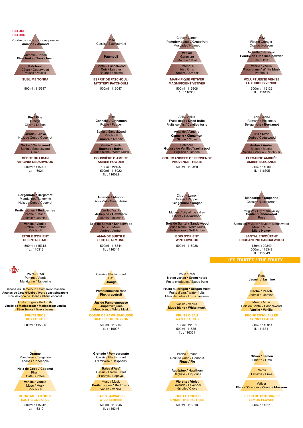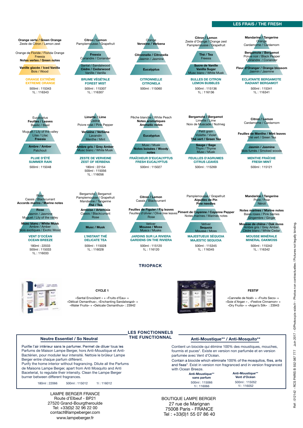#### LES FRAIS / THE FRESH



Purifie l'air intérieur sans le parfumer. Permet de diluer tous les Parfums de Maison Lampe Berger, hors Anti-Moustique et Anti-Bactérien, pour moduler leur intensité. Nettoie le brûleur Lampe Berger entre chaque parfum différent.

Purify the home interior without fragrancing. Dilute all the Parfums de Maisons Lampe Berger, apart from Anti Mosquito and Anti Baceterial, to regulate their intensity. Clean the Lampe Berger burner between different fragrances.

111 : 116052 180ml : 119006 122066 500ml : 115012 11: 116012<br>11:116052 11: 116052 11: 116052 11: 116052 11: 116052 11: 116052 11: 116052 11: 116052

LAMPE BERGER FRANCE Route d'Elbeuf - BP21 27520 Grand-Bourgtheroulde Tel: +33(0)2 32 96 22 00 contact@lampeberger.com www.lampeberger.fr

Contient un biocide qui élimine 100% des moustiques, mouches, fourmis et puces\*. Existe en version non parfumée et en version parfumée avec Vent d'Océan.

Contain a biocide which eliminate 100% of the mosquitos, flies, ants and fleas\*. Exist in version non fragranced and in version fragranced with Ocean Breeze.

500ml : 115052

Anti-Moustique\*\*<br>Vent d'Océan

500ml : 115066 1l : 116066 Anti-Moustique\*\* sans parfum

27 rue de Marignan 75008 Paris - FRANCE Tel : +33(0)1 55 07 86 40 BOUTIQUE LAMPE BERGER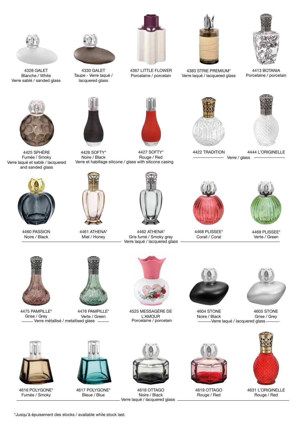

4328 GALET Blanche / White Verre sablé / sanded glass



4425 SPHÈRE Fumée / Smoky Verre laqué et sablé / lacquered and sanded glass



4460 PASSION Noire / Black



4330 GALET Taupe - Verre laqué / lacquered glass







4426 SOFTY\* Noire / Black 4427 SOFTY\* Rouge / Red Verre et habillage silicone / glass with silicone casing



4462 ATHENA\* Gris fumé / Smoky grey Verre laqué / lacquered glass



4383 STRIE PREMIUM\* Verre laqué / lacquered glass



4413 BOTANIA Porcelaine / porcelain





4422 TRADITION 4444 L'ORIGINELLE Verre / glass



4468 PLISSEE\* Corail / Coral



4469 PLISSEE\* Verte / Green



4475 PAMPILLE\* Grise / Grey



4461 ATHENA\* Miel / Honey

Verre métallisé / metallised glass 4476 PAMPILLE\* Verte / Green



Porcelaine / porcelain 4525 MESSAGÈRE DE L'AMOUR



4604 STONE Noire / Black



-Verre laqué / lacquered glass -4605 STONE Grise / Grey



4616 POLYGONE\* Fumée / Smoky



4617 POLYGONE\* Bleue / Blue



Verre laqué / lacquered glass 4618 OTTAGO Noire / Black



4619 OTTAGO Rouge / Red



4631 L'ORIGINELLE Rouge / Red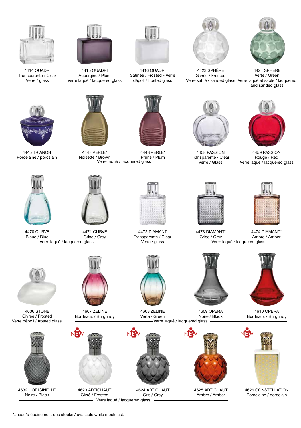

4414 QUADRI Transparente / Clear Verre / glass



4415 QUADRI Aubergine / Plum Verre laqué / lacquered glass



4445 TRIANON Porcelaine / porcelain



Verre dépoli / frosted glass

4606 STONE Givrée / Frosted

4632 L'ORIGINELLE Noire / Black

4470 CURVE Bleue / Blue





4447 PERLE\* Noisette / Brown Verre laqué / lacquered glass



Verre laqué / lacquered glass entre intervention of verre / glass and all verre laqué / lacquered glass -4471 CURVE Grise / Grey



4607 ZELINE Bordeaux / Burgundy



4623 ARTICHAUT Givré / Frosted



4416 QUADRI Satinée / Frosted - Verre dépoli / frosted glass



4448 PERLE\* Prune / Plum



4472 DIAMANT Transparente / Clear Verre / glass



Verre laqué / lacquered glass 4608 ZELINE Verte / Green



- Verre laqué / lacquered glass -4624 ARTICHAUT Gris / Grey



4423 SPHÈRE Givrée / Frosted



Verre sablé / sanded glass Verre laqué et sablé / lacquered 4424 SPHÈRE Verte / Green and sanded glass



4458 PASSION Transparente / Clear Verre / Glass



4459 PASSION Rouge / Red Verre laqué / lacquered glass



Grise / Grey



Ambre / Amber



4610 OPERA Bordeaux / Burgundy



4626 CONSTELLATION Porcelaine / porcelain









4609 OPERA Noire / Black

NE

4625 ARTICHAUT Ambre / Amber

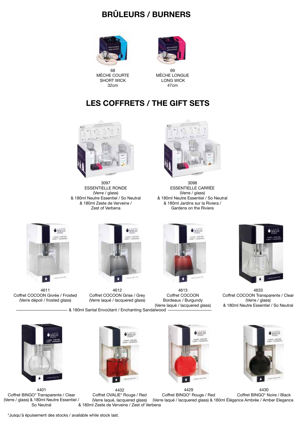### BRÛLEURS / BURNERS



68 MÈCHE COURTE SHORT WICK 32cm



69 MÈCHE LONGUE LONG WICK 47cm

#### LES COFFRETS / THE GIFT SETS



3097 ESSENTIELLE RONDE (Verre / glass) & 180ml Neutre Essentiel / So Neutral & 180ml Zeste de Verveine / Zest of Verbena



ESSENTIELLE CARRÉE (Verre / glass) & 180ml Neutre Essentiel / So Neutral & 180ml Jardins sur la Riviera / Gardens on the Riviera



4611 Coffret COCOON Givrée / Frosted (Verre dépoli / frosted glass)



4612 Coffret COCOON Grise / Grey (Verre laqué / lacquered glass)





4401 Coffret BINGO\* Transparente / Clear (Verre / glass) & 180ml Neutre Essentiel / So Neutral





4613 Coffret COCOON Bordeaux / Burgundy

 $\bullet$   $\mathbb{R}$ 

4633 Coffret COCOON Transparente / Clear (Verre / glass) & 180ml Neutre Essentiel / So Neutral



4429 Coffret BINGO\* Rouge / Red 4432 Coffret OVALIE\* Rouge / Red (Verre laqué, lacquered glass) & 180ml Zeste de Verveine / Zest of Verbena (Verre laqué / lacquered glass) & 180ml Élégance Ambrée / Amber Elegance

Coffret BINGO\* Noire / Black

\*Jusqu'à épuisement des stocks / available while stock last.